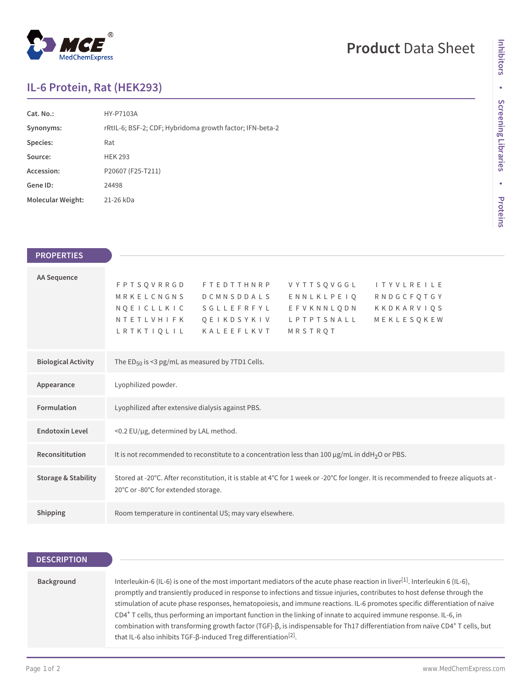## $^{\circledR}$ MedChemExpress

# **Product** Data Sheet

### **IL-6 Protein, Rat (HEK293)**

| Cat. No.:                | HY-P7103A                                                |
|--------------------------|----------------------------------------------------------|
| Synonyms:                | rRtIL-6; BSF-2; CDF; Hybridoma growth factor; IFN-beta-2 |
| Species:                 | Rat                                                      |
| Source:                  | <b>HEK 293</b>                                           |
| Accession:               | P20607 (F25-T211)                                        |
| Gene ID:                 | 24498                                                    |
| <b>Molecular Weight:</b> | 21-26 kDa                                                |

| <b>PROPERTIES</b>              |                                                                                                                                                                                                                                                                                                          |
|--------------------------------|----------------------------------------------------------------------------------------------------------------------------------------------------------------------------------------------------------------------------------------------------------------------------------------------------------|
| <b>AA Sequence</b>             | <b>FPTSQVRRGD</b><br><b>FTEDTTHNRP</b><br>VYTTSQVGGL<br><b>ITYVLREILE</b><br>MRKELCNGNS<br>ENNLKLPEIQ<br>RNDGCFQTGY<br><b>DCMNSDDALS</b><br>NQEICLLKIC<br>S G L L E F R F Y L<br>EFVKNNLQDN<br>KKDKARVIQS<br>MEKLESQKEW<br>NTETLVHIFK<br>QEIKDSYKIV<br>LPTPTSNALL<br>LRTKTIQLIL<br>KALEEFLKVT<br>MRSTRQT |
| <b>Biological Activity</b>     | The ED <sub>50</sub> is <3 pg/mL as measured by 7TD1 Cells.                                                                                                                                                                                                                                              |
| Appearance                     | Lyophilized powder.                                                                                                                                                                                                                                                                                      |
| Formulation                    | Lyophilized after extensive dialysis against PBS.                                                                                                                                                                                                                                                        |
| <b>Endotoxin Level</b>         | <0.2 EU/µg, determined by LAL method.                                                                                                                                                                                                                                                                    |
| Reconsititution                | It is not recommended to reconstitute to a concentration less than 100 µg/mL in ddH <sub>2</sub> O or PBS.                                                                                                                                                                                               |
| <b>Storage &amp; Stability</b> | Stored at -20°C. After reconstitution, it is stable at 4°C for 1 week or -20°C for longer. It is recommended to freeze aliquots at -<br>20°C or -80°C for extended storage.                                                                                                                              |
| Shipping                       | Room temperature in continental US; may vary elsewhere.                                                                                                                                                                                                                                                  |

| Interleukin-6 (IL-6) is one of the most important mediators of the acute phase reaction in liver <sup>[1]</sup> . Interleukin 6 (IL-6),<br>Background<br>promptly and transiently produced in response to infections and tissue injuries, contributes to host defense through the<br>CD4 <sup>+</sup> T cells, thus performing an important function in the linking of innate to acquired immune response. IL-6, in<br>combination with transforming growth factor (TGF)-β, is indispensable for Th17 differentiation from naïve CD4 <sup>+</sup> T cells, but<br>that IL-6 also inhibits TGF-β-induced Treg differentiation <sup>[2]</sup> . | <b>DESCRIPTION</b> |                                                                                                                            |
|-----------------------------------------------------------------------------------------------------------------------------------------------------------------------------------------------------------------------------------------------------------------------------------------------------------------------------------------------------------------------------------------------------------------------------------------------------------------------------------------------------------------------------------------------------------------------------------------------------------------------------------------------|--------------------|----------------------------------------------------------------------------------------------------------------------------|
|                                                                                                                                                                                                                                                                                                                                                                                                                                                                                                                                                                                                                                               |                    |                                                                                                                            |
|                                                                                                                                                                                                                                                                                                                                                                                                                                                                                                                                                                                                                                               |                    | stimulation of acute phase responses, hematopoiesis, and immune reactions. IL-6 promotes specific differentiation of naïve |